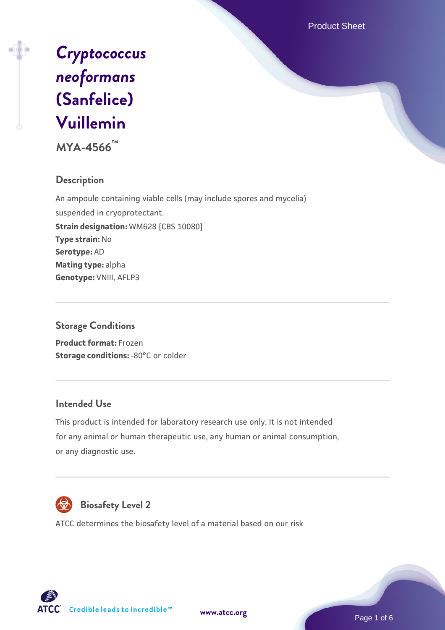Product Sheet



**MYA-4566™**

## **Description**

An ampoule containing viable cells (may include spores and mycelia) suspended in cryoprotectant. **Strain designation:** WM628 [CBS 10080] **Type strain:** No **Serotype:** AD **Mating type:** alpha **Genotype:** VNIII, AFLP3

### **Storage Conditions**

**Product format:** Frozen **Storage conditions: -80°C or colder** 

#### **Intended Use**

This product is intended for laboratory research use only. It is not intended for any animal or human therapeutic use, any human or animal consumption, or any diagnostic use.



# **Biosafety Level 2**

ATCC determines the biosafety level of a material based on our risk



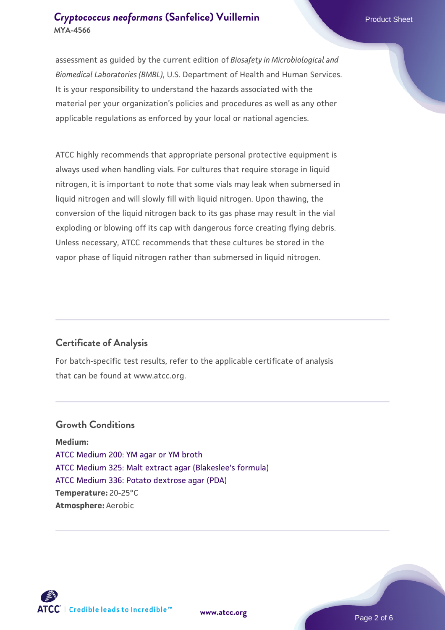assessment as guided by the current edition of *Biosafety in Microbiological and Biomedical Laboratories (BMBL)*, U.S. Department of Health and Human Services. It is your responsibility to understand the hazards associated with the material per your organization's policies and procedures as well as any other applicable regulations as enforced by your local or national agencies.

ATCC highly recommends that appropriate personal protective equipment is always used when handling vials. For cultures that require storage in liquid nitrogen, it is important to note that some vials may leak when submersed in liquid nitrogen and will slowly fill with liquid nitrogen. Upon thawing, the conversion of the liquid nitrogen back to its gas phase may result in the vial exploding or blowing off its cap with dangerous force creating flying debris. Unless necessary, ATCC recommends that these cultures be stored in the vapor phase of liquid nitrogen rather than submersed in liquid nitrogen.

### **Certificate of Analysis**

For batch-specific test results, refer to the applicable certificate of analysis that can be found at www.atcc.org.

### **Growth Conditions**

**Medium:**  [ATCC Medium 200: YM agar or YM broth](https://www.atcc.org/-/media/product-assets/documents/microbial-media-formulations/2/0/0/atcc-medium-200.pdf?rev=ac40fd74dc13433a809367b0b9da30fc) [ATCC Medium 325: Malt extract agar \(Blakeslee's formula\)](https://www.atcc.org/-/media/product-assets/documents/microbial-media-formulations/3/2/5/atcc-medium-325.pdf?rev=146ec77015184a96912232dcb12386f9) [ATCC Medium 336: Potato dextrose agar \(PDA\)](https://www.atcc.org/-/media/product-assets/documents/microbial-media-formulations/3/3/6/atcc-medium-336.pdf?rev=d9160ad44d934cd8b65175461abbf3b9) **Temperature:** 20-25°C **Atmosphere:** Aerobic

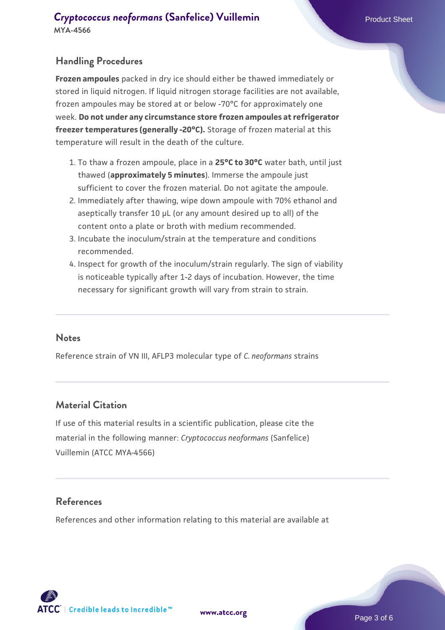### **Handling Procedures**

**Frozen ampoules** packed in dry ice should either be thawed immediately or stored in liquid nitrogen. If liquid nitrogen storage facilities are not available, frozen ampoules may be stored at or below -70°C for approximately one week. **Do not under any circumstance store frozen ampoules at refrigerator freezer temperatures (generally -20°C).** Storage of frozen material at this temperature will result in the death of the culture.

- 1. To thaw a frozen ampoule, place in a **25°C to 30°C** water bath, until just thawed (**approximately 5 minutes**). Immerse the ampoule just sufficient to cover the frozen material. Do not agitate the ampoule.
- 2. Immediately after thawing, wipe down ampoule with 70% ethanol and aseptically transfer 10 µL (or any amount desired up to all) of the content onto a plate or broth with medium recommended.
- Incubate the inoculum/strain at the temperature and conditions 3. recommended.
- 4. Inspect for growth of the inoculum/strain regularly. The sign of viability is noticeable typically after 1-2 days of incubation. However, the time necessary for significant growth will vary from strain to strain.

#### **Notes**

Reference strain of VN III, AFLP3 molecular type of *C. neoformans* strains

#### **Material Citation**

If use of this material results in a scientific publication, please cite the material in the following manner: *Cryptococcus neoformans* (Sanfelice) Vuillemin (ATCC MYA-4566)

#### **References**

References and other information relating to this material are available at

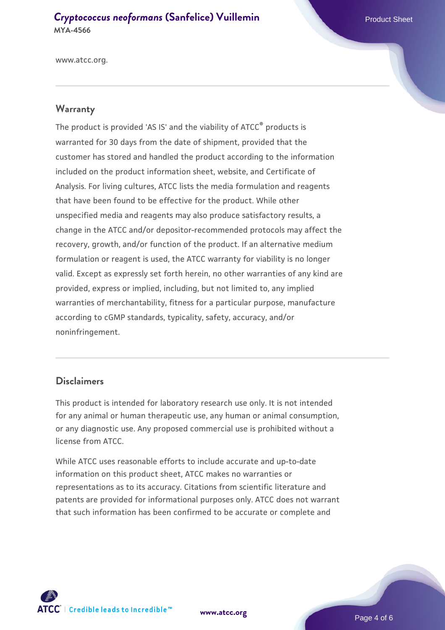www.atcc.org.

#### **Warranty**

The product is provided 'AS IS' and the viability of ATCC® products is warranted for 30 days from the date of shipment, provided that the customer has stored and handled the product according to the information included on the product information sheet, website, and Certificate of Analysis. For living cultures, ATCC lists the media formulation and reagents that have been found to be effective for the product. While other unspecified media and reagents may also produce satisfactory results, a change in the ATCC and/or depositor-recommended protocols may affect the recovery, growth, and/or function of the product. If an alternative medium formulation or reagent is used, the ATCC warranty for viability is no longer valid. Except as expressly set forth herein, no other warranties of any kind are provided, express or implied, including, but not limited to, any implied warranties of merchantability, fitness for a particular purpose, manufacture according to cGMP standards, typicality, safety, accuracy, and/or noninfringement.

#### **Disclaimers**

This product is intended for laboratory research use only. It is not intended for any animal or human therapeutic use, any human or animal consumption, or any diagnostic use. Any proposed commercial use is prohibited without a license from ATCC.

While ATCC uses reasonable efforts to include accurate and up-to-date information on this product sheet, ATCC makes no warranties or representations as to its accuracy. Citations from scientific literature and patents are provided for informational purposes only. ATCC does not warrant that such information has been confirmed to be accurate or complete and



**[www.atcc.org](http://www.atcc.org)**

Page 4 of 6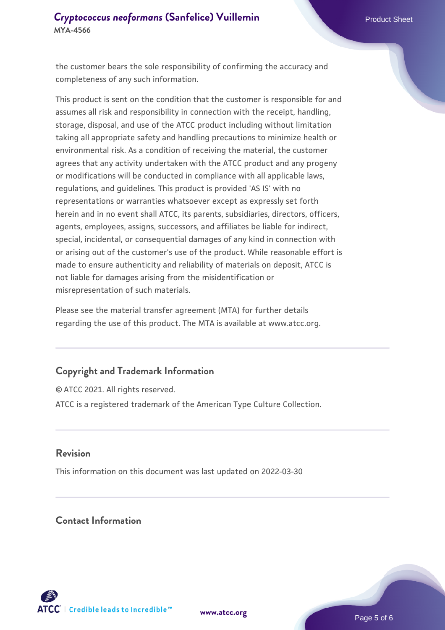the customer bears the sole responsibility of confirming the accuracy and completeness of any such information.

This product is sent on the condition that the customer is responsible for and assumes all risk and responsibility in connection with the receipt, handling, storage, disposal, and use of the ATCC product including without limitation taking all appropriate safety and handling precautions to minimize health or environmental risk. As a condition of receiving the material, the customer agrees that any activity undertaken with the ATCC product and any progeny or modifications will be conducted in compliance with all applicable laws, regulations, and guidelines. This product is provided 'AS IS' with no representations or warranties whatsoever except as expressly set forth herein and in no event shall ATCC, its parents, subsidiaries, directors, officers, agents, employees, assigns, successors, and affiliates be liable for indirect, special, incidental, or consequential damages of any kind in connection with or arising out of the customer's use of the product. While reasonable effort is made to ensure authenticity and reliability of materials on deposit, ATCC is not liable for damages arising from the misidentification or misrepresentation of such materials.

Please see the material transfer agreement (MTA) for further details regarding the use of this product. The MTA is available at www.atcc.org.

#### **Copyright and Trademark Information**

© ATCC 2021. All rights reserved. ATCC is a registered trademark of the American Type Culture Collection.

#### **Revision**

This information on this document was last updated on 2022-03-30

## **Contact Information**



**[www.atcc.org](http://www.atcc.org)**